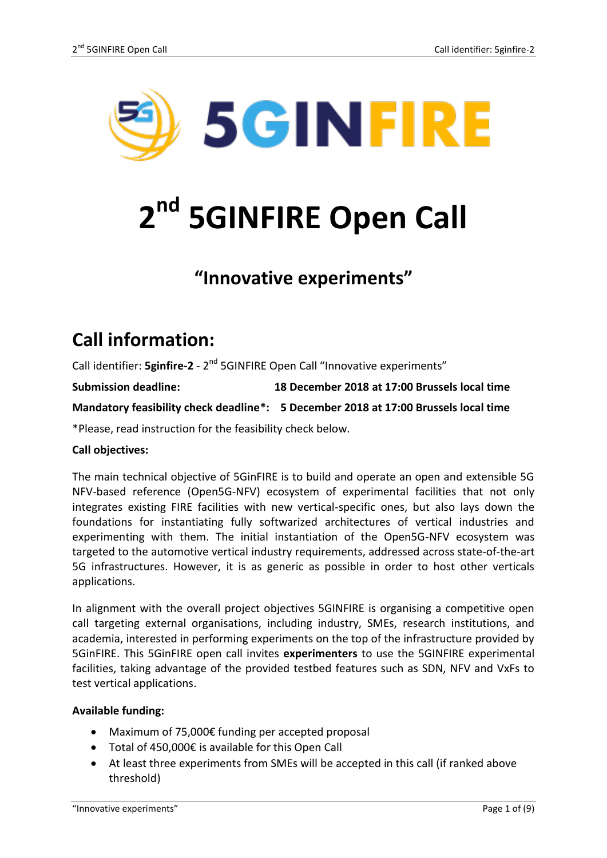

# **2 nd 5GINFIRE Open Call**

## **"Innovative experiments"**

# **Call information:**

Call identifier: **5ginfire-2** - 2<sup>nd</sup> 5GINFIRE Open Call "Innovative experiments"

**Submission deadline: 18 December 2018 at 17:00 Brussels local time**

**Mandatory feasibility check deadline\*: 5 December 2018 at 17:00 Brussels local time**

\*Please, read instruction for the feasibility check below.

### **Call objectives:**

The main technical objective of 5GinFIRE is to build and operate an open and extensible 5G NFV-based reference (Open5G-NFV) ecosystem of experimental facilities that not only integrates existing FIRE facilities with new vertical-specific ones, but also lays down the foundations for instantiating fully softwarized architectures of vertical industries and experimenting with them. The initial instantiation of the Open5G-NFV ecosystem was targeted to the automotive vertical industry requirements, addressed across state-of-the-art 5G infrastructures. However, it is as generic as possible in order to host other verticals applications.

In alignment with the overall project objectives 5GINFIRE is organising a competitive open call targeting external organisations, including industry, SMEs, research institutions, and academia, interested in performing experiments on the top of the infrastructure provided by 5GinFIRE. This 5GinFIRE open call invites **experimenters** to use the 5GINFIRE experimental facilities, taking advantage of the provided testbed features such as SDN, NFV and VxFs to test vertical applications.

#### **Available funding:**

- Maximum of 75,000€ funding per accepted proposal
- Total of 450,000€ is available for this Open Call
- At least three experiments from SMEs will be accepted in this call (if ranked above threshold)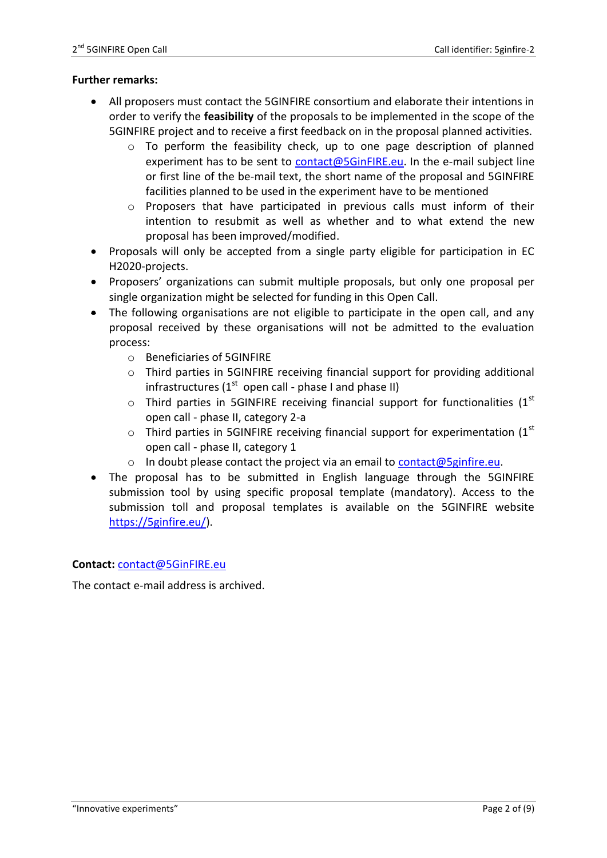#### **Further remarks:**

- All proposers must contact the 5GINFIRE consortium and elaborate their intentions in order to verify the **feasibility** of the proposals to be implemented in the scope of the 5GINFIRE project and to receive a first feedback on in the proposal planned activities.
	- o To perform the feasibility check, up to one page description of planned experiment has to be sent to [contact@5GinFIRE.eu.](mailto:contact@5GinFIRE.eu) In the e-mail subject line or first line of the be-mail text, the short name of the proposal and 5GINFIRE facilities planned to be used in the experiment have to be mentioned
	- o Proposers that have participated in previous calls must inform of their intention to resubmit as well as whether and to what extend the new proposal has been improved/modified.
- Proposals will only be accepted from a single party eligible for participation in EC H2020-projects.
- Proposers' organizations can submit multiple proposals, but only one proposal per single organization might be selected for funding in this Open Call.
- The following organisations are not eligible to participate in the open call, and any proposal received by these organisations will not be admitted to the evaluation process:
	- o Beneficiaries of 5GINFIRE
	- $\circ$  Third parties in 5GINFIRE receiving financial support for providing additional infrastructures ( $1^{st}$  open call - phase I and phase II)
	- $\circ$  Third parties in 5GINFIRE receiving financial support for functionalities (1<sup>st</sup> open call - phase II, category 2-a
	- $\circ$  Third parties in 5GINFIRE receiving financial support for experimentation (1st) open call - phase II, category 1
	- o In doubt please contact the project via an email to  $contact@5ginfire.eu$ .</u>
- The proposal has to be submitted in English language through the 5GINFIRE submission tool by using specific proposal template (mandatory). Access to the submission toll and proposal templates is available on the 5GINFIRE website [https://5ginfire.eu/\)](https://5ginfire.eu/).

#### **Contact:** [contact@5GinFIRE.eu](mailto:contact@5GinFIRE.eu)

The contact e-mail address is archived.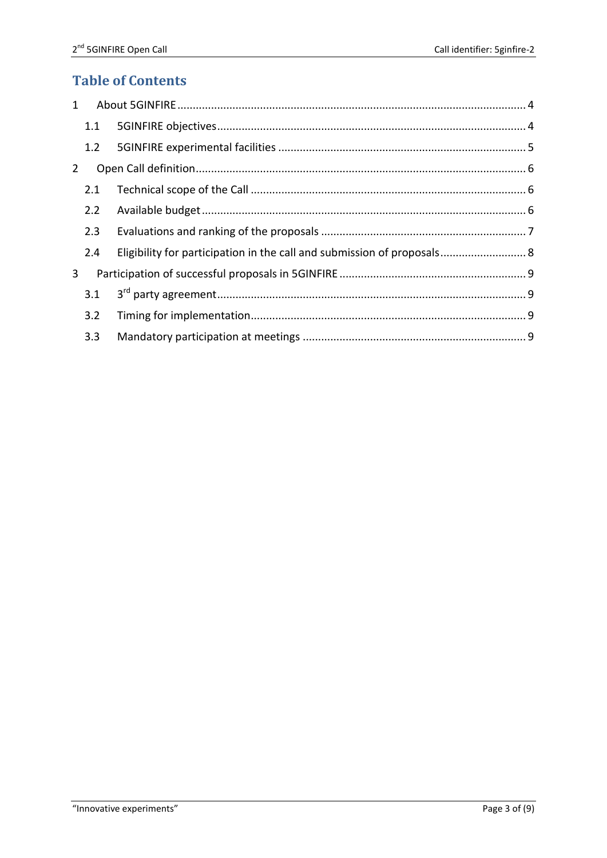## **Table of Contents**

| $\mathbf{1}$   |     |                                                                         |  |
|----------------|-----|-------------------------------------------------------------------------|--|
|                | 1.1 |                                                                         |  |
|                | 1.2 |                                                                         |  |
| $\overline{2}$ |     |                                                                         |  |
|                | 2.1 |                                                                         |  |
|                | 2.2 |                                                                         |  |
|                | 2.3 |                                                                         |  |
|                | 2.4 | Eligibility for participation in the call and submission of proposals 8 |  |
| $\overline{3}$ |     |                                                                         |  |
|                | 3.1 |                                                                         |  |
|                | 3.2 |                                                                         |  |
|                | 3.3 |                                                                         |  |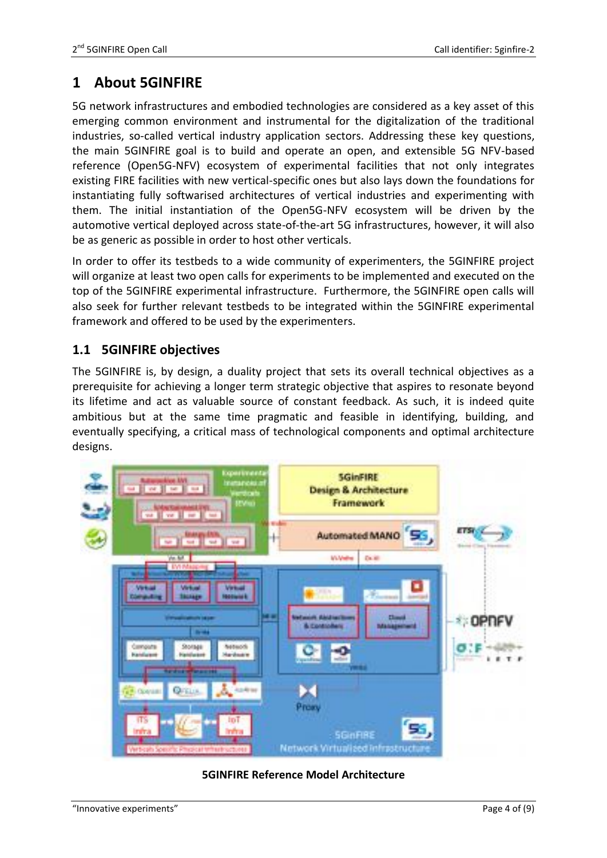## <span id="page-3-0"></span>**1 About 5GINFIRE**

5G network infrastructures and embodied technologies are considered as a key asset of this emerging common environment and instrumental for the digitalization of the traditional industries, so-called vertical industry application sectors. Addressing these key questions, the main 5GINFIRE goal is to build and operate an open, and extensible 5G NFV-based reference (Open5G-NFV) ecosystem of experimental facilities that not only integrates existing FIRE facilities with new vertical-specific ones but also lays down the foundations for instantiating fully softwarised architectures of vertical industries and experimenting with them. The initial instantiation of the Open5G-NFV ecosystem will be driven by the automotive vertical deployed across state-of-the-art 5G infrastructures, however, it will also be as generic as possible in order to host other verticals.

In order to offer its testbeds to a wide community of experimenters, the 5GINFIRE project will organize at least two open calls for experiments to be implemented and executed on the top of the 5GINFIRE experimental infrastructure. Furthermore, the 5GINFIRE open calls will also seek for further relevant testbeds to be integrated within the 5GINFIRE experimental framework and offered to be used by the experimenters.

## <span id="page-3-1"></span>**1.1 5GINFIRE objectives**

The 5GINFIRE is, by design, a duality project that sets its overall technical objectives as a prerequisite for achieving a longer term strategic objective that aspires to resonate beyond its lifetime and act as valuable source of constant feedback. As such, it is indeed quite ambitious but at the same time pragmatic and feasible in identifying, building, and eventually specifying, a critical mass of technological components and optimal architecture designs.



### **5GINFIRE Reference Model Architecture**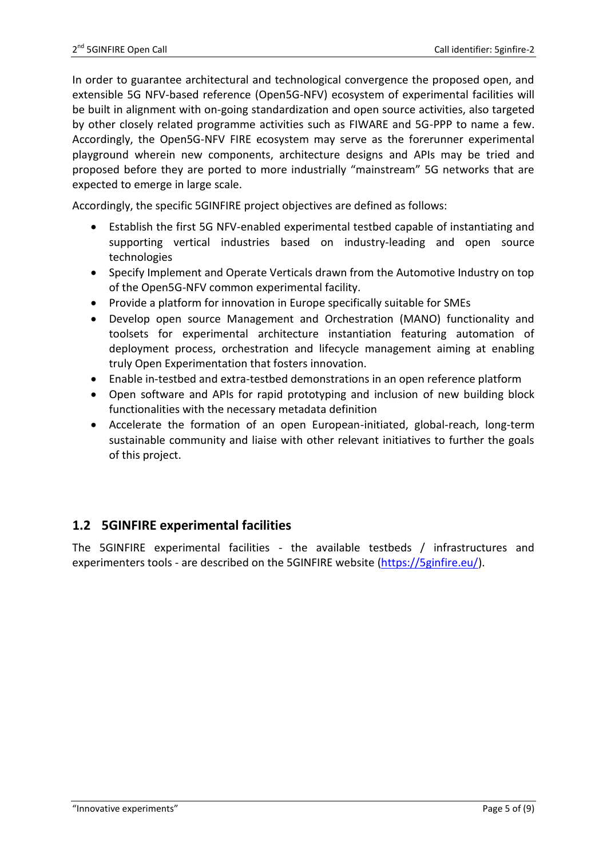In order to guarantee architectural and technological convergence the proposed open, and extensible 5G NFV-based reference (Open5G-NFV) ecosystem of experimental facilities will be built in alignment with on-going standardization and open source activities, also targeted by other closely related programme activities such as FIWARE and 5G-PPP to name a few. Accordingly, the Open5G-NFV FIRE ecosystem may serve as the forerunner experimental playground wherein new components, architecture designs and APIs may be tried and proposed before they are ported to more industrially "mainstream" 5G networks that are expected to emerge in large scale.

Accordingly, the specific 5GINFIRE project objectives are defined as follows:

- Establish the first 5G NFV-enabled experimental testbed capable of instantiating and supporting vertical industries based on industry-leading and open source technologies
- Specify Implement and Operate Verticals drawn from the Automotive Industry on top of the Open5G-NFV common experimental facility.
- Provide a platform for innovation in Europe specifically suitable for SMEs
- Develop open source Management and Orchestration (MANO) functionality and toolsets for experimental architecture instantiation featuring automation of deployment process, orchestration and lifecycle management aiming at enabling truly Open Experimentation that fosters innovation.
- Enable in-testbed and extra-testbed demonstrations in an open reference platform
- Open software and APIs for rapid prototyping and inclusion of new building block functionalities with the necessary metadata definition
- Accelerate the formation of an open European-initiated, global-reach, long-term sustainable community and liaise with other relevant initiatives to further the goals of this project.

## <span id="page-4-0"></span>**1.2 5GINFIRE experimental facilities**

The 5GINFIRE experimental facilities - the available testbeds / infrastructures and experimenters tools - are described on the 5GINFIRE website [\(https://5ginfire.eu/\)](https://5ginfire.eu/).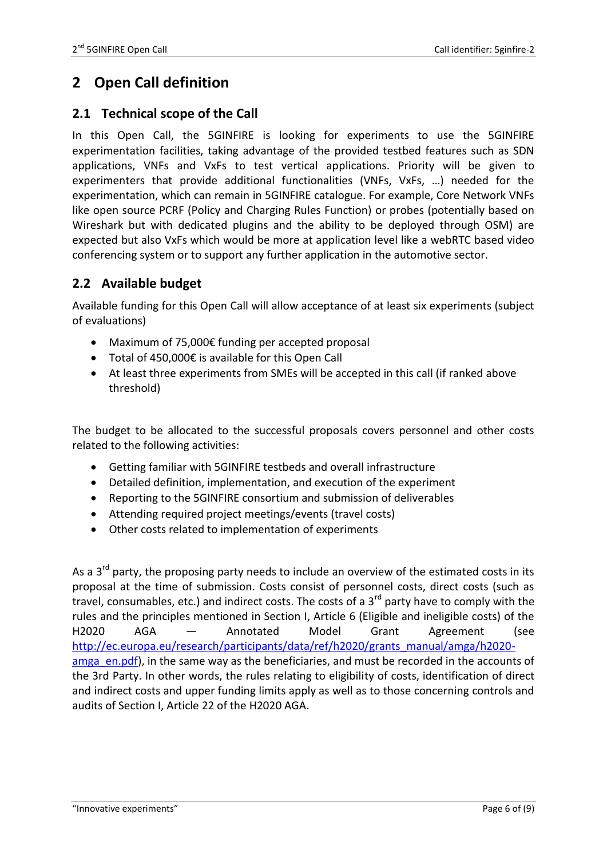## <span id="page-5-0"></span>**2 Open Call definition**

## <span id="page-5-1"></span>**2.1 Technical scope of the Call**

In this Open Call, the 5GINFIRE is looking for experiments to use the 5GINFIRE experimentation facilities, taking advantage of the provided testbed features such as SDN applications, VNFs and VxFs to test vertical applications. Priority will be given to experimenters that provide additional functionalities (VNFs, VxFs, …) needed for the experimentation, which can remain in 5GINFIRE catalogue. For example, Core Network VNFs like open source PCRF (Policy and Charging Rules Function) or probes (potentially based on Wireshark but with dedicated plugins and the ability to be deployed through OSM) are expected but also VxFs which would be more at application level like a webRTC based video conferencing system or to support any further application in the automotive sector.

## <span id="page-5-2"></span>**2.2 Available budget**

Available funding for this Open Call will allow acceptance of at least six experiments (subject of evaluations)

- Maximum of 75,000€ funding per accepted proposal
- Total of 450,000€ is available for this Open Call
- At least three experiments from SMEs will be accepted in this call (if ranked above threshold)

The budget to be allocated to the successful proposals covers personnel and other costs related to the following activities:

- Getting familiar with 5GINFIRE testbeds and overall infrastructure
- Detailed definition, implementation, and execution of the experiment
- Reporting to the 5GINFIRE consortium and submission of deliverables
- Attending required project meetings/events (travel costs)
- Other costs related to implementation of experiments

As a  $3<sup>rd</sup>$  party, the proposing party needs to include an overview of the estimated costs in its proposal at the time of submission. Costs consist of personnel costs, direct costs (such as travel, consumables, etc.) and indirect costs. The costs of a  $3<sup>rd</sup>$  party have to comply with the rules and the principles mentioned in Section I, Article 6 (Eligible and ineligible costs) of the H2020 AGA — Annotated Model Grant Agreement (see [http://ec.europa.eu/research/participants/data/ref/h2020/grants\\_manual/amga/h2020](http://ec.europa.eu/research/participants/data/ref/h2020/grants_manual/amga/h2020-amga_en.pdf) amga en.pdf), in the same way as the beneficiaries, and must be recorded in the accounts of the 3rd Party. In other words, the rules relating to eligibility of costs, identification of direct and indirect costs and upper funding limits apply as well as to those concerning controls and audits of Section I, Article 22 of the H2020 AGA.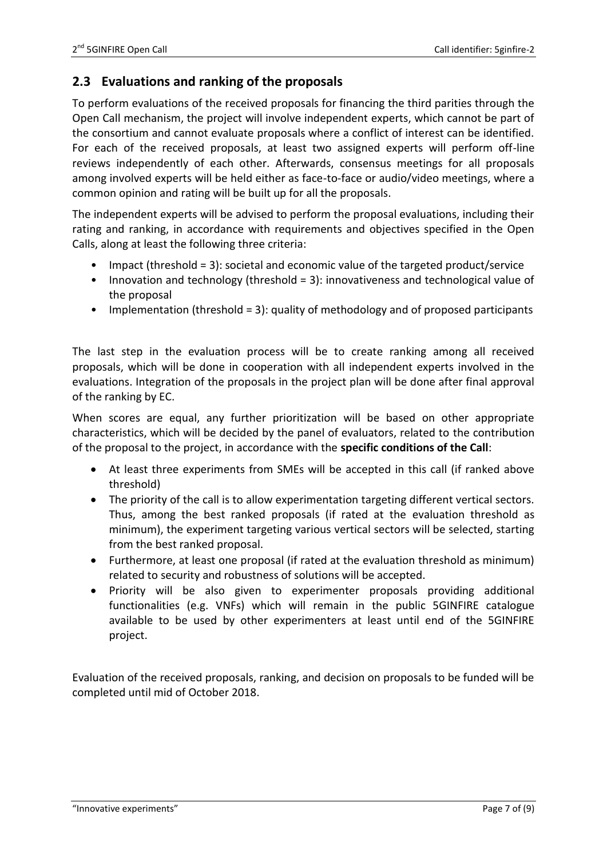## <span id="page-6-0"></span>**2.3 Evaluations and ranking of the proposals**

To perform evaluations of the received proposals for financing the third parities through the Open Call mechanism, the project will involve independent experts, which cannot be part of the consortium and cannot evaluate proposals where a conflict of interest can be identified. For each of the received proposals, at least two assigned experts will perform off-line reviews independently of each other. Afterwards, consensus meetings for all proposals among involved experts will be held either as face-to-face or audio/video meetings, where a common opinion and rating will be built up for all the proposals.

The independent experts will be advised to perform the proposal evaluations, including their rating and ranking, in accordance with requirements and objectives specified in the Open Calls, along at least the following three criteria:

- Impact (threshold = 3): societal and economic value of the targeted product/service
- Innovation and technology (threshold = 3): innovativeness and technological value of the proposal
- Implementation (threshold = 3): quality of methodology and of proposed participants

The last step in the evaluation process will be to create ranking among all received proposals, which will be done in cooperation with all independent experts involved in the evaluations. Integration of the proposals in the project plan will be done after final approval of the ranking by EC.

When scores are equal, any further prioritization will be based on other appropriate characteristics, which will be decided by the panel of evaluators, related to the contribution of the proposal to the project, in accordance with the **specific conditions of the Call**:

- At least three experiments from SMEs will be accepted in this call (if ranked above threshold)
- The priority of the call is to allow experimentation targeting different vertical sectors. Thus, among the best ranked proposals (if rated at the evaluation threshold as minimum), the experiment targeting various vertical sectors will be selected, starting from the best ranked proposal.
- Furthermore, at least one proposal (if rated at the evaluation threshold as minimum) related to security and robustness of solutions will be accepted.
- Priority will be also given to experimenter proposals providing additional functionalities (e.g. VNFs) which will remain in the public 5GINFIRE catalogue available to be used by other experimenters at least until end of the 5GINFIRE project.

Evaluation of the received proposals, ranking, and decision on proposals to be funded will be completed until mid of October 2018.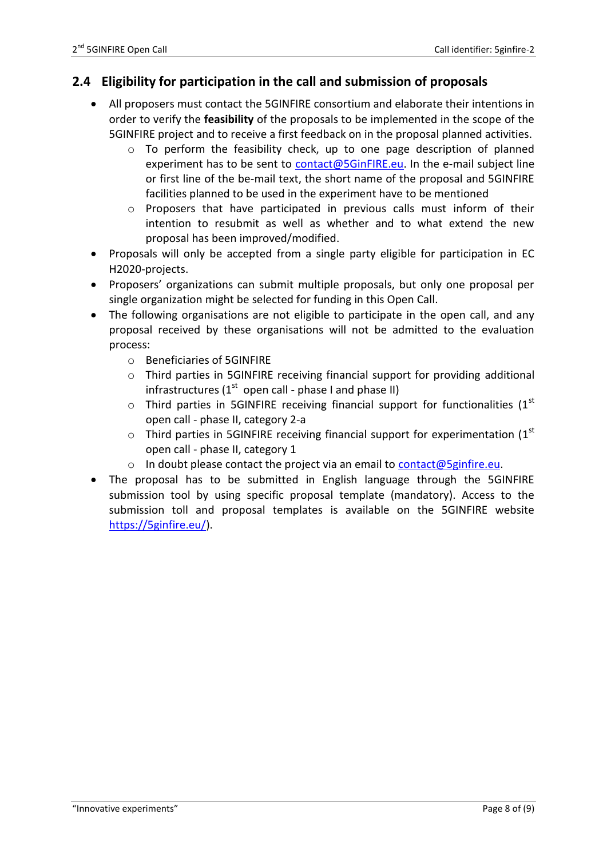## <span id="page-7-0"></span>**2.4 Eligibility for participation in the call and submission of proposals**

- All proposers must contact the 5GINFIRE consortium and elaborate their intentions in order to verify the **feasibility** of the proposals to be implemented in the scope of the 5GINFIRE project and to receive a first feedback on in the proposal planned activities.
	- $\circ$  To perform the feasibility check, up to one page description of planned experiment has to be sent to [contact@5GinFIRE.eu.](mailto:contact@5GinFIRE.eu) In the e-mail subject line or first line of the be-mail text, the short name of the proposal and 5GINFIRE facilities planned to be used in the experiment have to be mentioned
	- o Proposers that have participated in previous calls must inform of their intention to resubmit as well as whether and to what extend the new proposal has been improved/modified.
- Proposals will only be accepted from a single party eligible for participation in EC H2020-projects.
- Proposers' organizations can submit multiple proposals, but only one proposal per single organization might be selected for funding in this Open Call.
- The following organisations are not eligible to participate in the open call, and any proposal received by these organisations will not be admitted to the evaluation process:
	- o Beneficiaries of 5GINFIRE
	- o Third parties in 5GINFIRE receiving financial support for providing additional infrastructures ( $1<sup>st</sup>$  open call - phase I and phase II)
	- $\circ$  Third parties in 5GINFIRE receiving financial support for functionalities (1<sup>st</sup> open call - phase II, category 2-a
	- $\circ$  Third parties in 5GINFIRE receiving financial support for experimentation (1st open call - phase II, category 1
	- o In doubt please contact the project via an email to  $contact@5$ ginfire.eu.
- The proposal has to be submitted in English language through the 5GINFIRE submission tool by using specific proposal template (mandatory). Access to the submission toll and proposal templates is available on the 5GINFIRE website [https://5ginfire.eu/\)](https://5ginfire.eu/).